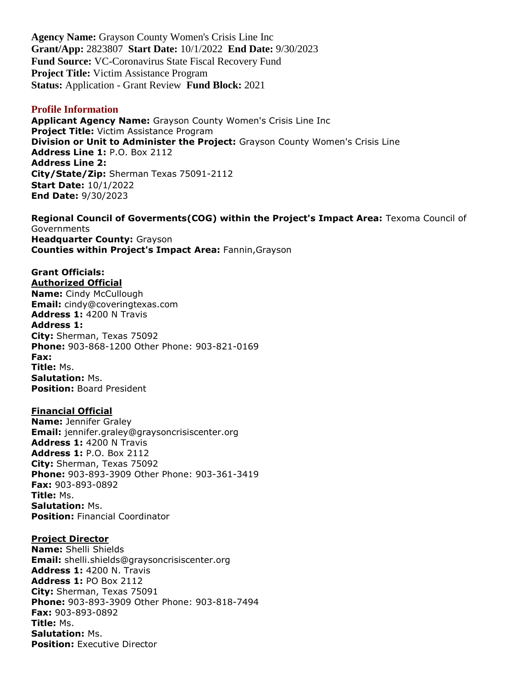**Agency Name:** Grayson County Women's Crisis Line Inc **Grant/App:** 2823807 **Start Date:** 10/1/2022 **End Date:** 9/30/2023 **Fund Source:** VC-Coronavirus State Fiscal Recovery Fund **Project Title:** Victim Assistance Program **Status:** Application - Grant Review **Fund Block:** 2021

#### **Profile Information**

**Applicant Agency Name:** Grayson County Women's Crisis Line Inc **Project Title:** Victim Assistance Program **Division or Unit to Administer the Project:** Grayson County Women's Crisis Line **Address Line 1:** P.O. Box 2112 **Address Line 2: City/State/Zip:** Sherman Texas 75091-2112 **Start Date:** 10/1/2022 **End Date:** 9/30/2023

**Regional Council of Goverments(COG) within the Project's Impact Area:** Texoma Council of **Governments Headquarter County:** Grayson **Counties within Project's Impact Area:** Fannin,Grayson

#### **Grant Officials: Authorized Official**

**Name:** Cindy McCullough **Email:** cindy@coveringtexas.com **Address 1:** 4200 N Travis **Address 1: City:** Sherman, Texas 75092 **Phone:** 903-868-1200 Other Phone: 903-821-0169 **Fax: Title:** Ms. **Salutation:** Ms. **Position:** Board President

### **Financial Official**

**Name:** Jennifer Graley **Email:** jennifer.graley@graysoncrisiscenter.org **Address 1:** 4200 N Travis **Address 1:** P.O. Box 2112 **City:** Sherman, Texas 75092 **Phone:** 903-893-3909 Other Phone: 903-361-3419 **Fax:** 903-893-0892 **Title:** Ms. **Salutation:** Ms. **Position:** Financial Coordinator

### **Project Director**

**Name:** Shelli Shields **Email:** shelli.shields@graysoncrisiscenter.org **Address 1:** 4200 N. Travis **Address 1:** PO Box 2112 **City:** Sherman, Texas 75091 **Phone:** 903-893-3909 Other Phone: 903-818-7494 **Fax:** 903-893-0892 **Title:** Ms. **Salutation:** Ms. **Position: Executive Director**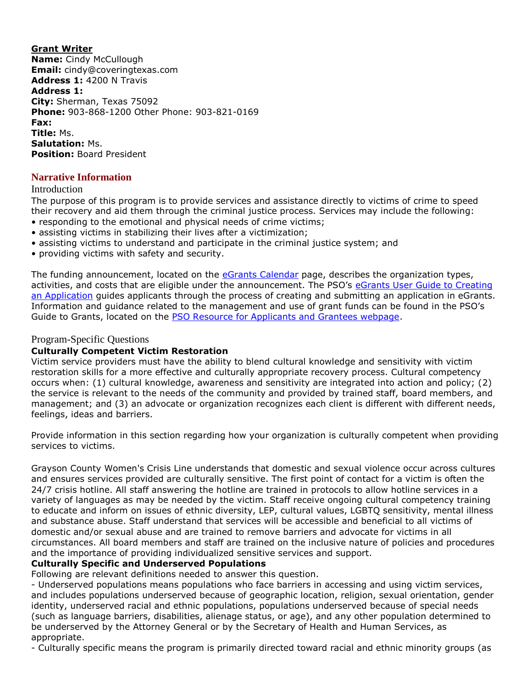**Grant Writer Name:** Cindy McCullough **Email:** cindy@coveringtexas.com **Address 1:** 4200 N Travis **Address 1: City:** Sherman, Texas 75092 **Phone:** 903-868-1200 Other Phone: 903-821-0169 **Fax: Title:** Ms. **Salutation:** Ms. **Position:** Board President

## **Narrative Information**

### Introduction

The purpose of this program is to provide services and assistance directly to victims of crime to speed their recovery and aid them through the criminal justice process. Services may include the following:

- responding to the emotional and physical needs of crime victims;
- assisting victims in stabilizing their lives after a victimization;
- assisting victims to understand and participate in the criminal justice system; and
- providing victims with safety and security.

The funding announcement, located on the [eGrants Calendar](https://egrants.gov.texas.gov/fundopp.aspx) page, describes the organization types, activities, and costs that are eligible under the announcement. The PSO's [eGrants User Guide to Creating](file:///C:/Users/mharp/fundopp.aspx%3fname=eGrants_Guide_to_Creating_an_Application_12.2020.pdf&type=2)  [an Application](file:///C:/Users/mharp/fundopp.aspx%3fname=eGrants_Guide_to_Creating_an_Application_12.2020.pdf&type=2) guides applicants through the process of creating and submitting an application in eGrants. Information and guidance related to the management and use of grant funds can be found in the PSO's Guide to Grants, located on the [PSO Resource for Applicants and Grantees webpage.](https://gov.texas.gov/organization/cjd/resources)

### Program-Specific Questions

### **Culturally Competent Victim Restoration**

Victim service providers must have the ability to blend cultural knowledge and sensitivity with victim restoration skills for a more effective and culturally appropriate recovery process. Cultural competency occurs when: (1) cultural knowledge, awareness and sensitivity are integrated into action and policy; (2) the service is relevant to the needs of the community and provided by trained staff, board members, and management; and (3) an advocate or organization recognizes each client is different with different needs, feelings, ideas and barriers.

Provide information in this section regarding how your organization is culturally competent when providing services to victims.

Grayson County Women's Crisis Line understands that domestic and sexual violence occur across cultures and ensures services provided are culturally sensitive. The first point of contact for a victim is often the 24/7 crisis hotline. All staff answering the hotline are trained in protocols to allow hotline services in a variety of languages as may be needed by the victim. Staff receive ongoing cultural competency training to educate and inform on issues of ethnic diversity, LEP, cultural values, LGBTQ sensitivity, mental illness and substance abuse. Staff understand that services will be accessible and beneficial to all victims of domestic and/or sexual abuse and are trained to remove barriers and advocate for victims in all circumstances. All board members and staff are trained on the inclusive nature of policies and procedures and the importance of providing individualized sensitive services and support.

## **Culturally Specific and Underserved Populations**

Following are relevant definitions needed to answer this question.

- Underserved populations means populations who face barriers in accessing and using victim services, and includes populations underserved because of geographic location, religion, sexual orientation, gender identity, underserved racial and ethnic populations, populations underserved because of special needs (such as language barriers, disabilities, alienage status, or age), and any other population determined to be underserved by the Attorney General or by the Secretary of Health and Human Services, as appropriate.

- Culturally specific means the program is primarily directed toward racial and ethnic minority groups (as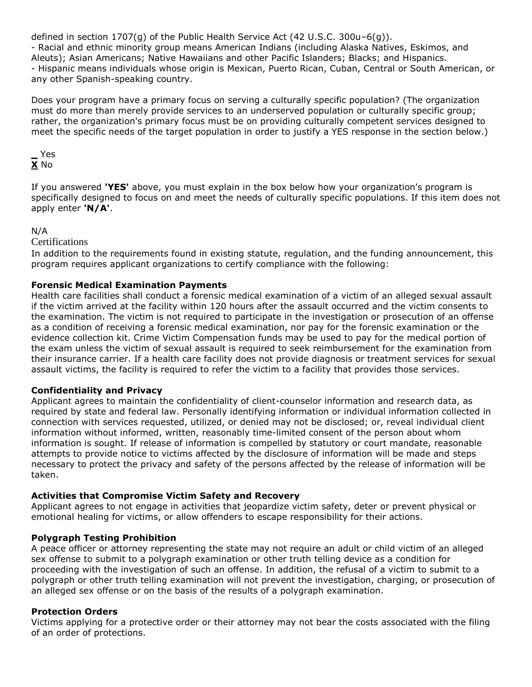defined in section 1707(g) of the Public Health Service Act (42 U.S.C. 300u–6(g)). - Racial and ethnic minority group means American Indians (including Alaska Natives, Eskimos, and Aleuts); Asian Americans; Native Hawaiians and other Pacific Islanders; Blacks; and Hispanics. - Hispanic means individuals whose origin is Mexican, Puerto Rican, Cuban, Central or South American, or any other Spanish-speaking country.

Does your program have a primary focus on serving a culturally specific population? (The organization must do more than merely provide services to an underserved population or culturally specific group; rather, the organization's primary focus must be on providing culturally competent services designed to meet the specific needs of the target population in order to justify a YES response in the section below.)

### **\_** Yes **X** No

If you answered **'YES'** above, you must explain in the box below how your organization's program is specifically designed to focus on and meet the needs of culturally specific populations. If this item does not apply enter **'N/A'**.

## N/A

### Certifications

In addition to the requirements found in existing statute, regulation, and the funding announcement, this program requires applicant organizations to certify compliance with the following:

### **Forensic Medical Examination Payments**

Health care facilities shall conduct a forensic medical examination of a victim of an alleged sexual assault if the victim arrived at the facility within 120 hours after the assault occurred and the victim consents to the examination. The victim is not required to participate in the investigation or prosecution of an offense as a condition of receiving a forensic medical examination, nor pay for the forensic examination or the evidence collection kit. Crime Victim Compensation funds may be used to pay for the medical portion of the exam unless the victim of sexual assault is required to seek reimbursement for the examination from their insurance carrier. If a health care facility does not provide diagnosis or treatment services for sexual assault victims, the facility is required to refer the victim to a facility that provides those services.

### **Confidentiality and Privacy**

Applicant agrees to maintain the confidentiality of client-counselor information and research data, as required by state and federal law. Personally identifying information or individual information collected in connection with services requested, utilized, or denied may not be disclosed; or, reveal individual client information without informed, written, reasonably time-limited consent of the person about whom information is sought. If release of information is compelled by statutory or court mandate, reasonable attempts to provide notice to victims affected by the disclosure of information will be made and steps necessary to protect the privacy and safety of the persons affected by the release of information will be taken.

## **Activities that Compromise Victim Safety and Recovery**

Applicant agrees to not engage in activities that jeopardize victim safety, deter or prevent physical or emotional healing for victims, or allow offenders to escape responsibility for their actions.

## **Polygraph Testing Prohibition**

A peace officer or attorney representing the state may not require an adult or child victim of an alleged sex offense to submit to a polygraph examination or other truth telling device as a condition for proceeding with the investigation of such an offense. In addition, the refusal of a victim to submit to a polygraph or other truth telling examination will not prevent the investigation, charging, or prosecution of an alleged sex offense or on the basis of the results of a polygraph examination.

### **Protection Orders**

Victims applying for a protective order or their attorney may not bear the costs associated with the filing of an order of protections.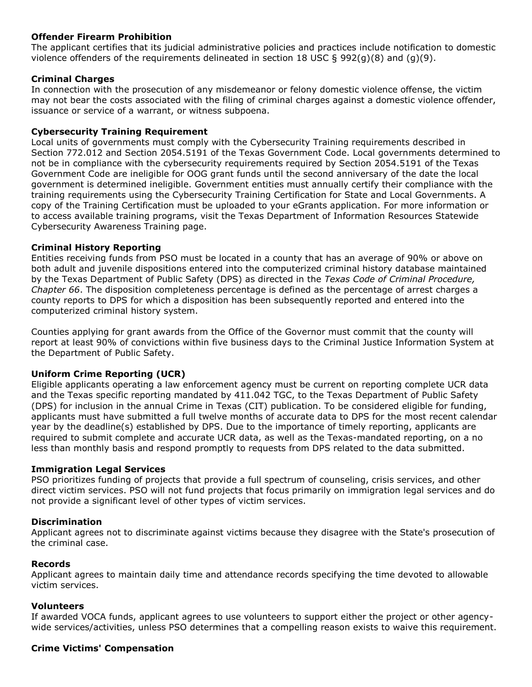### **Offender Firearm Prohibition**

The applicant certifies that its judicial administrative policies and practices include notification to domestic violence offenders of the requirements delineated in section 18 USC  $\S$  992(g)(8) and (g)(9).

### **Criminal Charges**

In connection with the prosecution of any misdemeanor or felony domestic violence offense, the victim may not bear the costs associated with the filing of criminal charges against a domestic violence offender, issuance or service of a warrant, or witness subpoena.

### **Cybersecurity Training Requirement**

Local units of governments must comply with the Cybersecurity Training requirements described in Section 772.012 and Section 2054.5191 of the Texas Government Code. Local governments determined to not be in compliance with the cybersecurity requirements required by Section 2054.5191 of the Texas Government Code are ineligible for OOG grant funds until the second anniversary of the date the local government is determined ineligible. Government entities must annually certify their compliance with the training requirements using the Cybersecurity Training Certification for State and Local Governments. A copy of the Training Certification must be uploaded to your eGrants application. For more information or to access available training programs, visit the Texas Department of Information Resources Statewide Cybersecurity Awareness Training page.

### **Criminal History Reporting**

Entities receiving funds from PSO must be located in a county that has an average of 90% or above on both adult and juvenile dispositions entered into the computerized criminal history database maintained by the Texas Department of Public Safety (DPS) as directed in the *Texas Code of Criminal Procedure, Chapter 66*. The disposition completeness percentage is defined as the percentage of arrest charges a county reports to DPS for which a disposition has been subsequently reported and entered into the computerized criminal history system.

Counties applying for grant awards from the Office of the Governor must commit that the county will report at least 90% of convictions within five business days to the Criminal Justice Information System at the Department of Public Safety.

## **Uniform Crime Reporting (UCR)**

Eligible applicants operating a law enforcement agency must be current on reporting complete UCR data and the Texas specific reporting mandated by 411.042 TGC, to the Texas Department of Public Safety (DPS) for inclusion in the annual Crime in Texas (CIT) publication. To be considered eligible for funding, applicants must have submitted a full twelve months of accurate data to DPS for the most recent calendar year by the deadline(s) established by DPS. Due to the importance of timely reporting, applicants are required to submit complete and accurate UCR data, as well as the Texas-mandated reporting, on a no less than monthly basis and respond promptly to requests from DPS related to the data submitted.

### **Immigration Legal Services**

PSO prioritizes funding of projects that provide a full spectrum of counseling, crisis services, and other direct victim services. PSO will not fund projects that focus primarily on immigration legal services and do not provide a significant level of other types of victim services.

### **Discrimination**

Applicant agrees not to discriminate against victims because they disagree with the State's prosecution of the criminal case.

### **Records**

Applicant agrees to maintain daily time and attendance records specifying the time devoted to allowable victim services.

### **Volunteers**

If awarded VOCA funds, applicant agrees to use volunteers to support either the project or other agencywide services/activities, unless PSO determines that a compelling reason exists to waive this requirement.

### **Crime Victims' Compensation**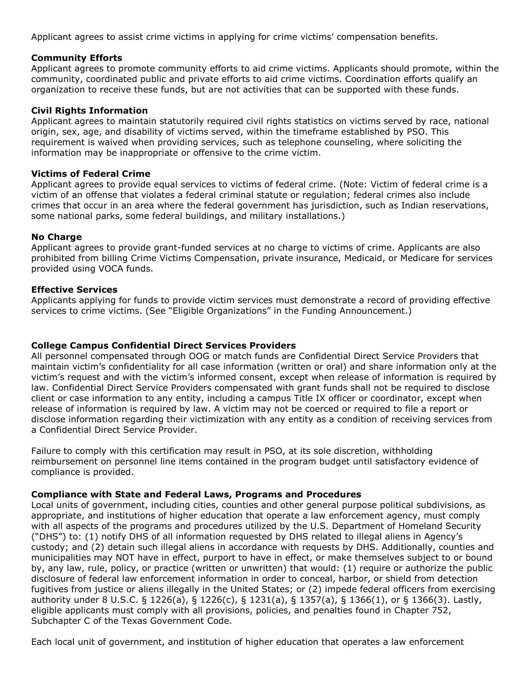Applicant agrees to assist crime victims in applying for crime victims' compensation benefits.

### **Community Efforts**

Applicant agrees to promote community efforts to aid crime victims. Applicants should promote, within the community, coordinated public and private efforts to aid crime victims. Coordination efforts qualify an organization to receive these funds, but are not activities that can be supported with these funds.

### **Civil Rights Information**

Applicant agrees to maintain statutorily required civil rights statistics on victims served by race, national origin, sex, age, and disability of victims served, within the timeframe established by PSO. This requirement is waived when providing services, such as telephone counseling, where soliciting the information may be inappropriate or offensive to the crime victim.

### **Victims of Federal Crime**

Applicant agrees to provide equal services to victims of federal crime. (Note: Victim of federal crime is a victim of an offense that violates a federal criminal statute or regulation; federal crimes also include crimes that occur in an area where the federal government has jurisdiction, such as Indian reservations, some national parks, some federal buildings, and military installations.)

### **No Charge**

Applicant agrees to provide grant-funded services at no charge to victims of crime. Applicants are also prohibited from billing Crime Victims Compensation, private insurance, Medicaid, or Medicare for services provided using VOCA funds.

### **Effective Services**

Applicants applying for funds to provide victim services must demonstrate a record of providing effective services to crime victims. (See "Eligible Organizations" in the Funding Announcement.)

### **College Campus Confidential Direct Services Providers**

All personnel compensated through OOG or match funds are Confidential Direct Service Providers that maintain victim's confidentiality for all case information (written or oral) and share information only at the victim's request and with the victim's informed consent, except when release of information is required by law. Confidential Direct Service Providers compensated with grant funds shall not be required to disclose client or case information to any entity, including a campus Title IX officer or coordinator, except when release of information is required by law. A victim may not be coerced or required to file a report or disclose information regarding their victimization with any entity as a condition of receiving services from a Confidential Direct Service Provider.

Failure to comply with this certification may result in PSO, at its sole discretion, withholding reimbursement on personnel line items contained in the program budget until satisfactory evidence of compliance is provided.

### **Compliance with State and Federal Laws, Programs and Procedures**

Local units of government, including cities, counties and other general purpose political subdivisions, as appropriate, and institutions of higher education that operate a law enforcement agency, must comply with all aspects of the programs and procedures utilized by the U.S. Department of Homeland Security ("DHS") to: (1) notify DHS of all information requested by DHS related to illegal aliens in Agency's custody; and (2) detain such illegal aliens in accordance with requests by DHS. Additionally, counties and municipalities may NOT have in effect, purport to have in effect, or make themselves subject to or bound by, any law, rule, policy, or practice (written or unwritten) that would: (1) require or authorize the public disclosure of federal law enforcement information in order to conceal, harbor, or shield from detection fugitives from justice or aliens illegally in the United States; or (2) impede federal officers from exercising authority under 8 U.S.C. § 1226(a), § 1226(c), § 1231(a), § 1357(a), § 1366(1), or § 1366(3). Lastly, eligible applicants must comply with all provisions, policies, and penalties found in Chapter 752, Subchapter C of the Texas Government Code.

Each local unit of government, and institution of higher education that operates a law enforcement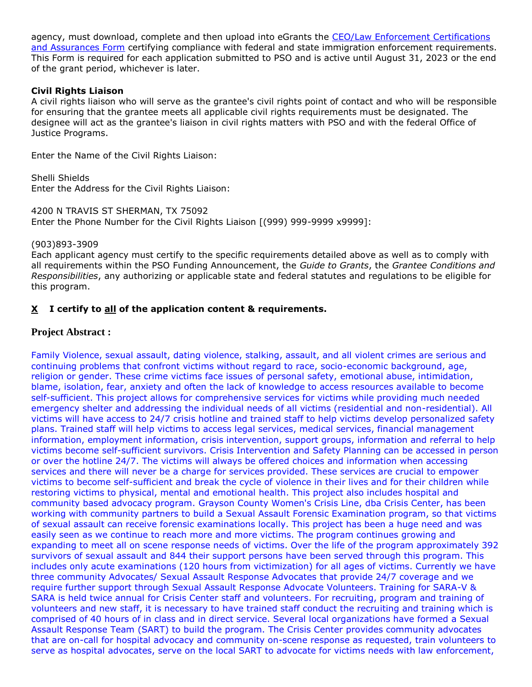agency, must download, complete and then upload into eGrants the [CEO/Law Enforcement Certifications](file:///C:/Users/mharp/fundopp.aspx%3fname=CEO-LE_Cert-Assurances_Form-Blank.pdf&type=2)  [and Assurances Form](file:///C:/Users/mharp/fundopp.aspx%3fname=CEO-LE_Cert-Assurances_Form-Blank.pdf&type=2) certifying compliance with federal and state immigration enforcement requirements. This Form is required for each application submitted to PSO and is active until August 31, 2023 or the end of the grant period, whichever is later.

### **Civil Rights Liaison**

A civil rights liaison who will serve as the grantee's civil rights point of contact and who will be responsible for ensuring that the grantee meets all applicable civil rights requirements must be designated. The designee will act as the grantee's liaison in civil rights matters with PSO and with the federal Office of Justice Programs.

Enter the Name of the Civil Rights Liaison:

Shelli Shields Enter the Address for the Civil Rights Liaison:

4200 N TRAVIS ST SHERMAN, TX 75092 Enter the Phone Number for the Civil Rights Liaison [(999) 999-9999 x9999]:

### (903)893-3909

Each applicant agency must certify to the specific requirements detailed above as well as to comply with all requirements within the PSO Funding Announcement, the *Guide to Grants*, the *Grantee Conditions and Responsibilities*, any authorizing or applicable state and federal statutes and regulations to be eligible for this program.

## **X I certify to all of the application content & requirements.**

## **Project Abstract :**

Family Violence, sexual assault, dating violence, stalking, assault, and all violent crimes are serious and continuing problems that confront victims without regard to race, socio-economic background, age, religion or gender. These crime victims face issues of personal safety, emotional abuse, intimidation, blame, isolation, fear, anxiety and often the lack of knowledge to access resources available to become self-sufficient. This project allows for comprehensive services for victims while providing much needed emergency shelter and addressing the individual needs of all victims (residential and non-residential). All victims will have access to 24/7 crisis hotline and trained staff to help victims develop personalized safety plans. Trained staff will help victims to access legal services, medical services, financial management information, employment information, crisis intervention, support groups, information and referral to help victims become self-sufficient survivors. Crisis Intervention and Safety Planning can be accessed in person or over the hotline 24/7. The victims will always be offered choices and information when accessing services and there will never be a charge for services provided. These services are crucial to empower victims to become self-sufficient and break the cycle of violence in their lives and for their children while restoring victims to physical, mental and emotional health. This project also includes hospital and community based advocacy program. Grayson County Women's Crisis Line, dba Crisis Center, has been working with community partners to build a Sexual Assault Forensic Examination program, so that victims of sexual assault can receive forensic examinations locally. This project has been a huge need and was easily seen as we continue to reach more and more victims. The program continues growing and expanding to meet all on scene response needs of victims. Over the life of the program approximately 392 survivors of sexual assault and 844 their support persons have been served through this program. This includes only acute examinations (120 hours from victimization) for all ages of victims. Currently we have three community Advocates/ Sexual Assault Response Advocates that provide 24/7 coverage and we require further support through Sexual Assault Response Advocate Volunteers. Training for SARA-V & SARA is held twice annual for Crisis Center staff and volunteers. For recruiting, program and training of volunteers and new staff, it is necessary to have trained staff conduct the recruiting and training which is comprised of 40 hours of in class and in direct service. Several local organizations have formed a Sexual Assault Response Team (SART) to build the program. The Crisis Center provides community advocates that are on-call for hospital advocacy and community on-scene response as requested, train volunteers to serve as hospital advocates, serve on the local SART to advocate for victims needs with law enforcement,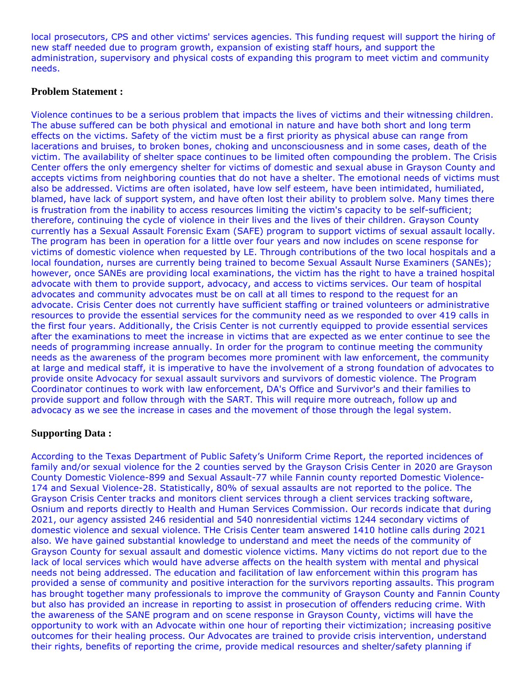local prosecutors, CPS and other victims' services agencies. This funding request will support the hiring of new staff needed due to program growth, expansion of existing staff hours, and support the administration, supervisory and physical costs of expanding this program to meet victim and community needs.

### **Problem Statement :**

Violence continues to be a serious problem that impacts the lives of victims and their witnessing children. The abuse suffered can be both physical and emotional in nature and have both short and long term effects on the victims. Safety of the victim must be a first priority as physical abuse can range from lacerations and bruises, to broken bones, choking and unconsciousness and in some cases, death of the victim. The availability of shelter space continues to be limited often compounding the problem. The Crisis Center offers the only emergency shelter for victims of domestic and sexual abuse in Grayson County and accepts victims from neighboring counties that do not have a shelter. The emotional needs of victims must also be addressed. Victims are often isolated, have low self esteem, have been intimidated, humiliated, blamed, have lack of support system, and have often lost their ability to problem solve. Many times there is frustration from the inability to access resources limiting the victim's capacity to be self-sufficient; therefore, continuing the cycle of violence in their lives and the lives of their children. Grayson County currently has a Sexual Assault Forensic Exam (SAFE) program to support victims of sexual assault locally. The program has been in operation for a little over four years and now includes on scene response for victims of domestic violence when requested by LE. Through contributions of the two local hospitals and a local foundation, nurses are currently being trained to become Sexual Assault Nurse Examiners (SANEs); however, once SANEs are providing local examinations, the victim has the right to have a trained hospital advocate with them to provide support, advocacy, and access to victims services. Our team of hospital advocates and community advocates must be on call at all times to respond to the request for an advocate. Crisis Center does not currently have sufficient staffing or trained volunteers or administrative resources to provide the essential services for the community need as we responded to over 419 calls in the first four years. Additionally, the Crisis Center is not currently equipped to provide essential services after the examinations to meet the increase in victims that are expected as we enter continue to see the needs of programming increase annually. In order for the program to continue meeting the community needs as the awareness of the program becomes more prominent with law enforcement, the community at large and medical staff, it is imperative to have the involvement of a strong foundation of advocates to provide onsite Advocacy for sexual assault survivors and survivors of domestic violence. The Program Coordinator continues to work with law enforcement, DA's Office and Survivor's and their families to provide support and follow through with the SART. This will require more outreach, follow up and advocacy as we see the increase in cases and the movement of those through the legal system.

## **Supporting Data :**

According to the Texas Department of Public Safety's Uniform Crime Report, the reported incidences of family and/or sexual violence for the 2 counties served by the Grayson Crisis Center in 2020 are Grayson County Domestic Violence-899 and Sexual Assault-77 while Fannin county reported Domestic Violence-174 and Sexual Violence-28. Statistically, 80% of sexual assaults are not reported to the police. The Grayson Crisis Center tracks and monitors client services through a client services tracking software, Osnium and reports directly to Health and Human Services Commission. Our records indicate that during 2021, our agency assisted 246 residential and 540 nonresidential victims 1244 secondary victims of domestic violence and sexual violence. THe Crisis Center team answered 1410 hotline calls during 2021 also. We have gained substantial knowledge to understand and meet the needs of the community of Grayson County for sexual assault and domestic violence victims. Many victims do not report due to the lack of local services which would have adverse affects on the health system with mental and physical needs not being addressed. The education and facilitation of law enforcement within this program has provided a sense of community and positive interaction for the survivors reporting assaults. This program has brought together many professionals to improve the community of Grayson County and Fannin County but also has provided an increase in reporting to assist in prosecution of offenders reducing crime. With the awareness of the SANE program and on scene response in Grayson County, victims will have the opportunity to work with an Advocate within one hour of reporting their victimization; increasing positive outcomes for their healing process. Our Advocates are trained to provide crisis intervention, understand their rights, benefits of reporting the crime, provide medical resources and shelter/safety planning if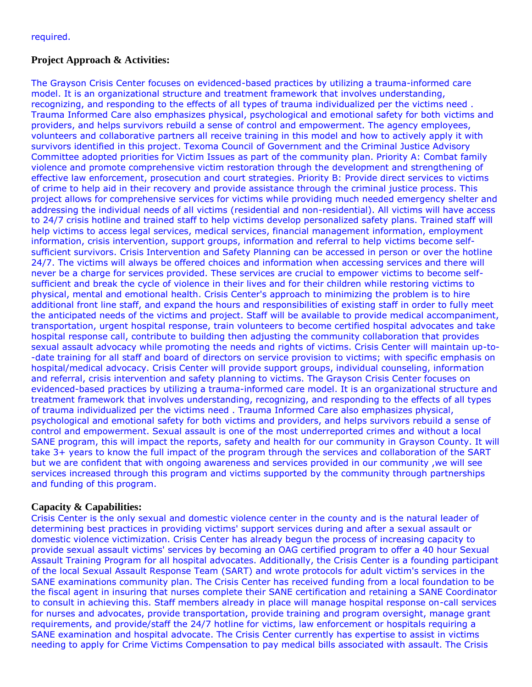## **Project Approach & Activities:**

The Grayson Crisis Center focuses on evidenced-based practices by utilizing a trauma-informed care model. It is an organizational structure and treatment framework that involves understanding, recognizing, and responding to the effects of all types of trauma individualized per the victims need . Trauma Informed Care also emphasizes physical, psychological and emotional safety for both victims and providers, and helps survivors rebuild a sense of control and empowerment. The agency employees, volunteers and collaborative partners all receive training in this model and how to actively apply it with survivors identified in this project. Texoma Council of Government and the Criminal Justice Advisory Committee adopted priorities for Victim Issues as part of the community plan. Priority A: Combat family violence and promote comprehensive victim restoration through the development and strengthening of effective law enforcement, prosecution and court strategies. Priority B: Provide direct services to victims of crime to help aid in their recovery and provide assistance through the criminal justice process. This project allows for comprehensive services for victims while providing much needed emergency shelter and addressing the individual needs of all victims (residential and non-residential). All victims will have access to 24/7 crisis hotline and trained staff to help victims develop personalized safety plans. Trained staff will help victims to access legal services, medical services, financial management information, employment information, crisis intervention, support groups, information and referral to help victims become selfsufficient survivors. Crisis Intervention and Safety Planning can be accessed in person or over the hotline 24/7. The victims will always be offered choices and information when accessing services and there will never be a charge for services provided. These services are crucial to empower victims to become selfsufficient and break the cycle of violence in their lives and for their children while restoring victims to physical, mental and emotional health. Crisis Center's approach to minimizing the problem is to hire additional front line staff, and expand the hours and responsibilities of existing staff in order to fully meet the anticipated needs of the victims and project. Staff will be available to provide medical accompaniment, transportation, urgent hospital response, train volunteers to become certified hospital advocates and take hospital response call, contribute to building then adjusting the community collaboration that provides sexual assault advocacy while promoting the needs and rights of victims. Crisis Center will maintain up-to- -date training for all staff and board of directors on service provision to victims; with specific emphasis on hospital/medical advocacy. Crisis Center will provide support groups, individual counseling, information and referral, crisis intervention and safety planning to victims. The Grayson Crisis Center focuses on evidenced-based practices by utilizing a trauma-informed care model. It is an organizational structure and treatment framework that involves understanding, recognizing, and responding to the effects of all types of trauma individualized per the victims need . Trauma Informed Care also emphasizes physical, psychological and emotional safety for both victims and providers, and helps survivors rebuild a sense of control and empowerment. Sexual assault is one of the most underreported crimes and without a local SANE program, this will impact the reports, safety and health for our community in Grayson County. It will take 3+ years to know the full impact of the program through the services and collaboration of the SART but we are confident that with ongoing awareness and services provided in our community ,we will see services increased through this program and victims supported by the community through partnerships and funding of this program.

## **Capacity & Capabilities:**

Crisis Center is the only sexual and domestic violence center in the county and is the natural leader of determining best practices in providing victims' support services during and after a sexual assault or domestic violence victimization. Crisis Center has already begun the process of increasing capacity to provide sexual assault victims' services by becoming an OAG certified program to offer a 40 hour Sexual Assault Training Program for all hospital advocates. Additionally, the Crisis Center is a founding participant of the local Sexual Assault Response Team (SART) and wrote protocols for adult victim's services in the SANE examinations community plan. The Crisis Center has received funding from a local foundation to be the fiscal agent in insuring that nurses complete their SANE certification and retaining a SANE Coordinator to consult in achieving this. Staff members already in place will manage hospital response on-call services for nurses and advocates, provide transportation, provide training and program oversight, manage grant requirements, and provide/staff the 24/7 hotline for victims, law enforcement or hospitals requiring a SANE examination and hospital advocate. The Crisis Center currently has expertise to assist in victims needing to apply for Crime Victims Compensation to pay medical bills associated with assault. The Crisis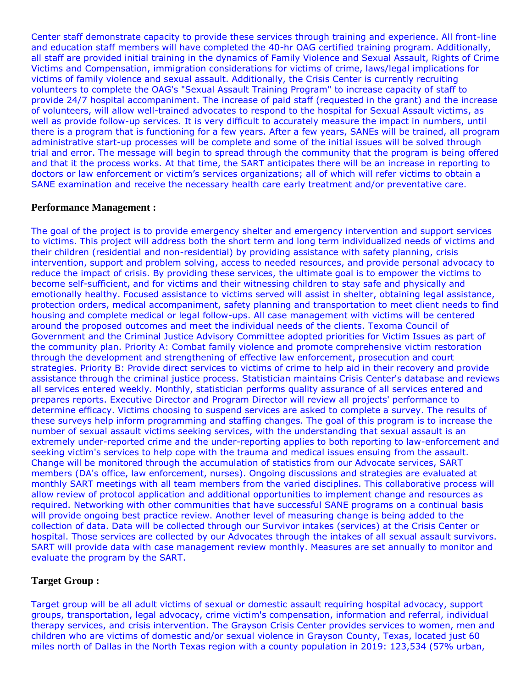Center staff demonstrate capacity to provide these services through training and experience. All front-line and education staff members will have completed the 40-hr OAG certified training program. Additionally, all staff are provided initial training in the dynamics of Family Violence and Sexual Assault, Rights of Crime Victims and Compensation, immigration considerations for victims of crime, laws/legal implications for victims of family violence and sexual assault. Additionally, the Crisis Center is currently recruiting volunteers to complete the OAG's "Sexual Assault Training Program" to increase capacity of staff to provide 24/7 hospital accompaniment. The increase of paid staff (requested in the grant) and the increase of volunteers, will allow well-trained advocates to respond to the hospital for Sexual Assault victims, as well as provide follow-up services. It is very difficult to accurately measure the impact in numbers, until there is a program that is functioning for a few years. After a few years, SANEs will be trained, all program administrative start-up processes will be complete and some of the initial issues will be solved through trial and error. The message will begin to spread through the community that the program is being offered and that it the process works. At that time, the SART anticipates there will be an increase in reporting to doctors or law enforcement or victim's services organizations; all of which will refer victims to obtain a SANE examination and receive the necessary health care early treatment and/or preventative care.

### **Performance Management :**

The goal of the project is to provide emergency shelter and emergency intervention and support services to victims. This project will address both the short term and long term individualized needs of victims and their children (residential and non-residential) by providing assistance with safety planning, crisis intervention, support and problem solving, access to needed resources, and provide personal advocacy to reduce the impact of crisis. By providing these services, the ultimate goal is to empower the victims to become self-sufficient, and for victims and their witnessing children to stay safe and physically and emotionally healthy. Focused assistance to victims served will assist in shelter, obtaining legal assistance, protection orders, medical accompaniment, safety planning and transportation to meet client needs to find housing and complete medical or legal follow-ups. All case management with victims will be centered around the proposed outcomes and meet the individual needs of the clients. Texoma Council of Government and the Criminal Justice Advisory Committee adopted priorities for Victim Issues as part of the community plan. Priority A: Combat family violence and promote comprehensive victim restoration through the development and strengthening of effective law enforcement, prosecution and court strategies. Priority B: Provide direct services to victims of crime to help aid in their recovery and provide assistance through the criminal justice process. Statistician maintains Crisis Center's database and reviews all services entered weekly. Monthly, statistician performs quality assurance of all services entered and prepares reports. Executive Director and Program Director will review all projects' performance to determine efficacy. Victims choosing to suspend services are asked to complete a survey. The results of these surveys help inform programming and staffing changes. The goal of this program is to increase the number of sexual assault victims seeking services, with the understanding that sexual assault is an extremely under-reported crime and the under-reporting applies to both reporting to law-enforcement and seeking victim's services to help cope with the trauma and medical issues ensuing from the assault. Change will be monitored through the accumulation of statistics from our Advocate services, SART members (DA's office, law enforcement, nurses). Ongoing discussions and strategies are evaluated at monthly SART meetings with all team members from the varied disciplines. This collaborative process will allow review of protocol application and additional opportunities to implement change and resources as required. Networking with other communities that have successful SANE programs on a continual basis will provide ongoing best practice review. Another level of measuring change is being added to the collection of data. Data will be collected through our Survivor intakes (services) at the Crisis Center or hospital. Those services are collected by our Advocates through the intakes of all sexual assault survivors. SART will provide data with case management review monthly. Measures are set annually to monitor and evaluate the program by the SART.

## **Target Group :**

Target group will be all adult victims of sexual or domestic assault requiring hospital advocacy, support groups, transportation, legal advocacy, crime victim's compensation, information and referral, individual therapy services, and crisis intervention. The Grayson Crisis Center provides services to women, men and children who are victims of domestic and/or sexual violence in Grayson County, Texas, located just 60 miles north of Dallas in the North Texas region with a county population in 2019: 123,534 (57% urban,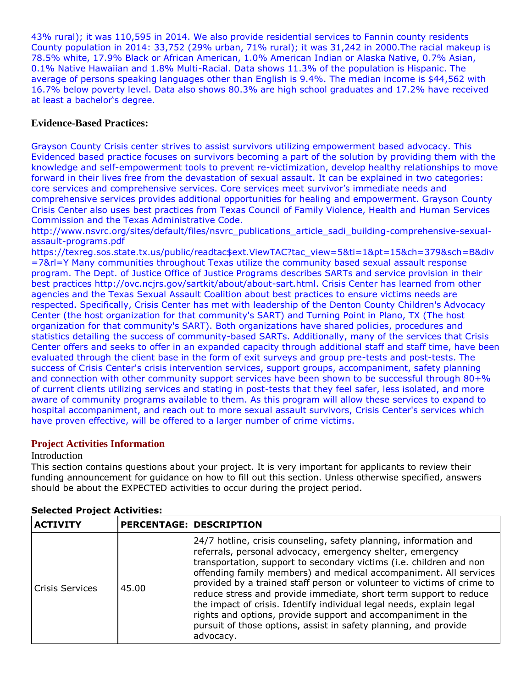43% rural); it was 110,595 in 2014. We also provide residential services to Fannin county residents County population in 2014: 33,752 (29% urban, 71% rural); it was 31,242 in 2000.The racial makeup is 78.5% white, 17.9% Black or African American, 1.0% American Indian or Alaska Native, 0.7% Asian, 0.1% Native Hawaiian and 1.8% Multi-Racial. Data shows 11.3% of the population is Hispanic. The average of persons speaking languages other than English is 9.4%. The median income is \$44,562 with 16.7% below poverty level. Data also shows 80.3% are high school graduates and 17.2% have received at least a bachelor's degree.

## **Evidence-Based Practices:**

Grayson County Crisis center strives to assist survivors utilizing empowerment based advocacy. This Evidenced based practice focuses on survivors becoming a part of the solution by providing them with the knowledge and self-empowerment tools to prevent re-victimization, develop healthy relationships to move forward in their lives free from the devastation of sexual assault. It can be explained in two categories: core services and comprehensive services. Core services meet survivor's immediate needs and comprehensive services provides additional opportunities for healing and empowerment. Grayson County Crisis Center also uses best practices from Texas Council of Family Violence, Health and Human Services Commission and the Texas Administrative Code.

http://www.nsvrc.org/sites/default/files/nsvrc\_publications\_article\_sadi\_building-comprehensive-sexualassault-programs.pdf

https://texreg.sos.state.tx.us/public/readtac\$ext.ViewTAC?tac\_view=5&ti=1&pt=15&ch=379&sch=B&div =7&rl=Y Many communities throughout Texas utilize the community based sexual assault response program. The Dept. of Justice Office of Justice Programs describes SARTs and service provision in their best practices http://ovc.ncjrs.gov/sartkit/about/about-sart.html. Crisis Center has learned from other agencies and the Texas Sexual Assault Coalition about best practices to ensure victims needs are respected. Specifically, Crisis Center has met with leadership of the Denton County Children's Advocacy Center (the host organization for that community's SART) and Turning Point in Plano, TX (The host organization for that community's SART). Both organizations have shared policies, procedures and statistics detailing the success of community-based SARTs. Additionally, many of the services that Crisis Center offers and seeks to offer in an expanded capacity through additional staff and staff time, have been evaluated through the client base in the form of exit surveys and group pre-tests and post-tests. The success of Crisis Center's crisis intervention services, support groups, accompaniment, safety planning and connection with other community support services have been shown to be successful through 80+% of current clients utilizing services and stating in post-tests that they feel safer, less isolated, and more aware of community programs available to them. As this program will allow these services to expand to hospital accompaniment, and reach out to more sexual assault survivors, Crisis Center's services which have proven effective, will be offered to a larger number of crime victims.

## **Project Activities Information**

### Introduction

This section contains questions about your project. It is very important for applicants to review their funding announcement for guidance on how to fill out this section. Unless otherwise specified, answers should be about the EXPECTED activities to occur during the project period.

| <b>ACTIVITY</b> |       | <b>PERCENTAGE: DESCRIPTION</b>                                                                                                                                                                                                                                                                                                                                                                                                                                                                                                                                                                                                                      |
|-----------------|-------|-----------------------------------------------------------------------------------------------------------------------------------------------------------------------------------------------------------------------------------------------------------------------------------------------------------------------------------------------------------------------------------------------------------------------------------------------------------------------------------------------------------------------------------------------------------------------------------------------------------------------------------------------------|
| Crisis Services | 45.00 | 24/7 hotline, crisis counseling, safety planning, information and<br>referrals, personal advocacy, emergency shelter, emergency<br>transportation, support to secondary victims (i.e. children and non<br>offending family members) and medical accompaniment. All services<br>provided by a trained staff person or volunteer to victims of crime to<br>reduce stress and provide immediate, short term support to reduce<br>the impact of crisis. Identify individual legal needs, explain legal<br>rights and options, provide support and accompaniment in the<br>pursuit of those options, assist in safety planning, and provide<br>advocacy. |

### **Selected Project Activities:**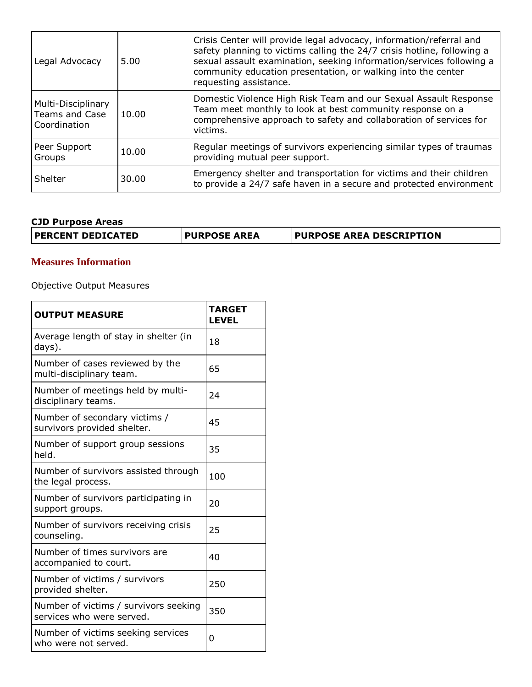| Legal Advocacy                                              | 5.00  | Crisis Center will provide legal advocacy, information/referral and<br>safety planning to victims calling the 24/7 crisis hotline, following a<br>sexual assault examination, seeking information/services following a<br>community education presentation, or walking into the center<br>requesting assistance. |
|-------------------------------------------------------------|-------|------------------------------------------------------------------------------------------------------------------------------------------------------------------------------------------------------------------------------------------------------------------------------------------------------------------|
| Multi-Disciplinary<br><b>Teams and Case</b><br>Coordination | 10.00 | Domestic Violence High Risk Team and our Sexual Assault Response<br>Team meet monthly to look at best community response on a<br>comprehensive approach to safety and collaboration of services for<br>victims.                                                                                                  |
| Peer Support<br>Groups                                      | 10.00 | Regular meetings of survivors experiencing similar types of traumas<br>providing mutual peer support.                                                                                                                                                                                                            |
| Shelter                                                     | 30.00 | Emergency shelter and transportation for victims and their children<br>to provide a 24/7 safe haven in a secure and protected environment                                                                                                                                                                        |

## **CJD Purpose Areas**

| <b>PURPOSE AREA DESCRIPTION</b><br><b>PERCENT DEDICATED</b><br><b>PURPOSE AREA</b> |
|------------------------------------------------------------------------------------|
|------------------------------------------------------------------------------------|

## **Measures Information**

Objective Output Measures

| <b>OUTPUT MEASURE</b>                                              | <b>TARGET</b><br><b>LEVEL</b> |
|--------------------------------------------------------------------|-------------------------------|
| Average length of stay in shelter (in<br>days).                    | 18                            |
| Number of cases reviewed by the<br>multi-disciplinary team.        | 65                            |
| Number of meetings held by multi-<br>disciplinary teams.           | 24                            |
| Number of secondary victims /<br>survivors provided shelter.       | 45                            |
| Number of support group sessions<br>held.                          | 35                            |
| Number of survivors assisted through<br>the legal process.         | 100                           |
| Number of survivors participating in<br>support groups.            | 20                            |
| Number of survivors receiving crisis<br>counseling.                | 25                            |
| Number of times survivors are<br>accompanied to court.             | 40                            |
| Number of victims / survivors<br>provided shelter.                 | 250                           |
| Number of victims / survivors seeking<br>services who were served. | 350                           |
| Number of victims seeking services<br>who were not served.         | 0                             |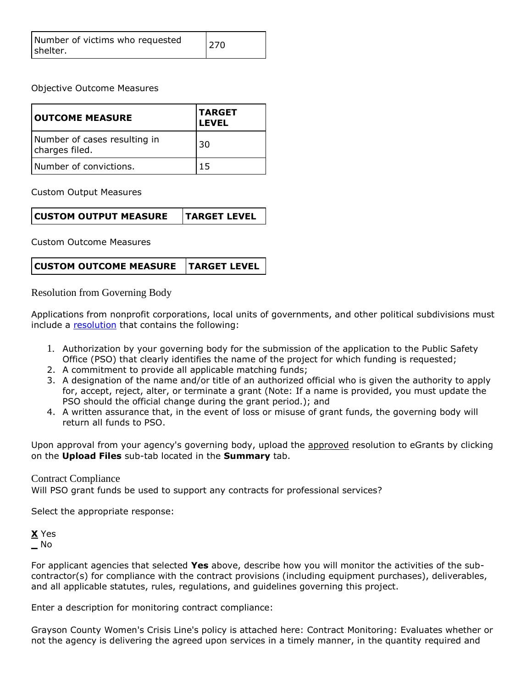| Number of victims who requested<br>shelter. | 270 |
|---------------------------------------------|-----|
|---------------------------------------------|-----|

Objective Outcome Measures

| <b>OUTCOME MEASURE</b>                         | <b>TARGET</b><br><b>LEVEL</b> |
|------------------------------------------------|-------------------------------|
| Number of cases resulting in<br>charges filed. | 30                            |
| Number of convictions.                         |                               |

Custom Output Measures

Custom Outcome Measures

| <b>CUSTOM OUTCOME MEASURE TARGET LEVEL</b> |  |
|--------------------------------------------|--|
|--------------------------------------------|--|

Resolution from Governing Body

Applications from nonprofit corporations, local units of governments, and other political subdivisions must include a [resolution](file:///C:/Users/mharp/FileDirectory/OOG_Sample_Resolution.doc) that contains the following:

- 1. Authorization by your governing body for the submission of the application to the Public Safety Office (PSO) that clearly identifies the name of the project for which funding is requested;
- 2. A commitment to provide all applicable matching funds;
- 3. A designation of the name and/or title of an authorized official who is given the authority to apply for, accept, reject, alter, or terminate a grant (Note: If a name is provided, you must update the PSO should the official change during the grant period.); and
- 4. A written assurance that, in the event of loss or misuse of grant funds, the governing body will return all funds to PSO.

Upon approval from your agency's governing body, upload the approved resolution to eGrants by clicking on the **Upload Files** sub-tab located in the **Summary** tab.

### Contract Compliance

Will PSO grant funds be used to support any contracts for professional services?

Select the appropriate response:

**X** Yes **\_** No

For applicant agencies that selected **Yes** above, describe how you will monitor the activities of the subcontractor(s) for compliance with the contract provisions (including equipment purchases), deliverables, and all applicable statutes, rules, regulations, and guidelines governing this project.

Enter a description for monitoring contract compliance:

Grayson County Women's Crisis Line's policy is attached here: Contract Monitoring: Evaluates whether or not the agency is delivering the agreed upon services in a timely manner, in the quantity required and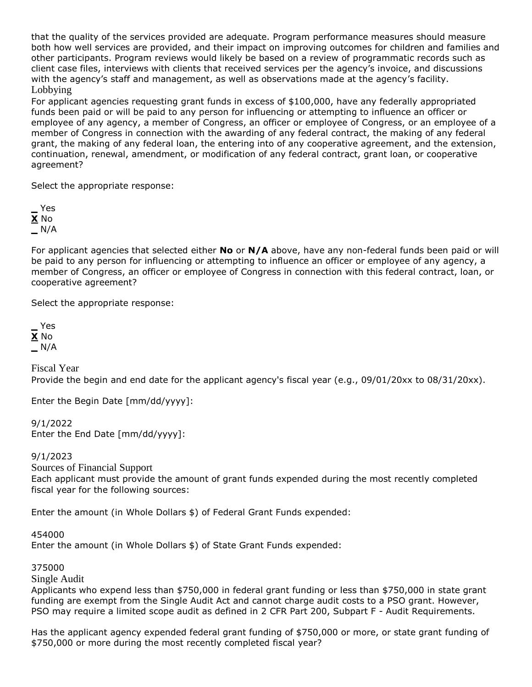that the quality of the services provided are adequate. Program performance measures should measure both how well services are provided, and their impact on improving outcomes for children and families and other participants. Program reviews would likely be based on a review of programmatic records such as client case files, interviews with clients that received services per the agency's invoice, and discussions with the agency's staff and management, as well as observations made at the agency's facility. Lobbying

For applicant agencies requesting grant funds in excess of \$100,000, have any federally appropriated funds been paid or will be paid to any person for influencing or attempting to influence an officer or employee of any agency, a member of Congress, an officer or employee of Congress, or an employee of a member of Congress in connection with the awarding of any federal contract, the making of any federal grant, the making of any federal loan, the entering into of any cooperative agreement, and the extension, continuation, renewal, amendment, or modification of any federal contract, grant loan, or cooperative agreement?

Select the appropriate response:

**\_** Yes **X** No **\_** N/A

For applicant agencies that selected either **No** or **N/A** above, have any non-federal funds been paid or will be paid to any person for influencing or attempting to influence an officer or employee of any agency, a member of Congress, an officer or employee of Congress in connection with this federal contract, loan, or cooperative agreement?

Select the appropriate response:

**\_** Yes **X** No **\_** N/A

Fiscal Year Provide the begin and end date for the applicant agency's fiscal year (e.g., 09/01/20xx to 08/31/20xx).

Enter the Begin Date [mm/dd/yyyy]:

9/1/2022 Enter the End Date [mm/dd/yyyy]:

9/1/2023

Sources of Financial Support

Each applicant must provide the amount of grant funds expended during the most recently completed fiscal year for the following sources:

Enter the amount (in Whole Dollars \$) of Federal Grant Funds expended:

454000

Enter the amount (in Whole Dollars \$) of State Grant Funds expended:

375000

Single Audit

Applicants who expend less than \$750,000 in federal grant funding or less than \$750,000 in state grant funding are exempt from the Single Audit Act and cannot charge audit costs to a PSO grant. However, PSO may require a limited scope audit as defined in 2 CFR Part 200, Subpart F - Audit Requirements.

Has the applicant agency expended federal grant funding of \$750,000 or more, or state grant funding of \$750,000 or more during the most recently completed fiscal year?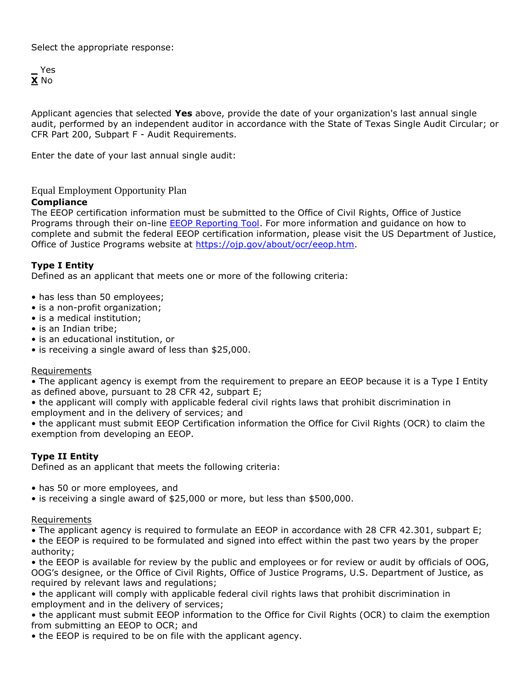Select the appropriate response:

**\_** Yes **X** No

Applicant agencies that selected **Yes** above, provide the date of your organization's last annual single audit, performed by an independent auditor in accordance with the State of Texas Single Audit Circular; or CFR Part 200, Subpart F - Audit Requirements.

Enter the date of your last annual single audit:

### Equal Employment Opportunity Plan

### **Compliance**

The EEOP certification information must be submitted to the Office of Civil Rights, Office of Justice Programs through their on-line **EEOP Reporting Tool**. For more information and guidance on how to complete and submit the federal EEOP certification information, please visit the US Department of Justice, Office of Justice Programs website at [https://ojp.gov/about/ocr/eeop.htm.](https://ojp.gov/about/ocr/eeop.htm)

## **Type I Entity**

Defined as an applicant that meets one or more of the following criteria:

- has less than 50 employees;
- is a non-profit organization;
- is a medical institution;
- is an Indian tribe;
- is an educational institution, or
- is receiving a single award of less than \$25,000.

### **Requirements**

• The applicant agency is exempt from the requirement to prepare an EEOP because it is a Type I Entity as defined above, pursuant to 28 CFR 42, subpart E;

• the applicant will comply with applicable federal civil rights laws that prohibit discrimination in employment and in the delivery of services; and

• the applicant must submit EEOP Certification information the Office for Civil Rights (OCR) to claim the exemption from developing an EEOP.

## **Type II Entity**

Defined as an applicant that meets the following criteria:

- has 50 or more employees, and
- is receiving a single award of \$25,000 or more, but less than \$500,000.

### **Requirements**

• The applicant agency is required to formulate an EEOP in accordance with 28 CFR 42.301, subpart E;

• the EEOP is required to be formulated and signed into effect within the past two years by the proper authority;

• the EEOP is available for review by the public and employees or for review or audit by officials of OOG, OOG's designee, or the Office of Civil Rights, Office of Justice Programs, U.S. Department of Justice, as required by relevant laws and regulations;

• the applicant will comply with applicable federal civil rights laws that prohibit discrimination in employment and in the delivery of services;

• the applicant must submit EEOP information to the Office for Civil Rights (OCR) to claim the exemption from submitting an EEOP to OCR; and

• the EEOP is required to be on file with the applicant agency.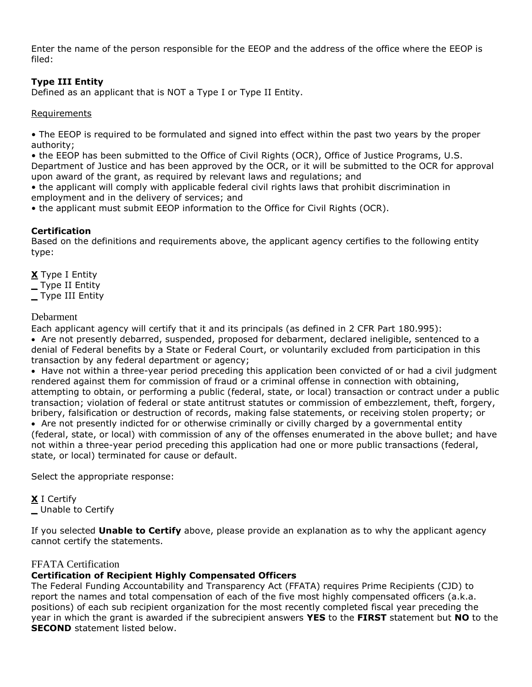Enter the name of the person responsible for the EEOP and the address of the office where the EEOP is filed:

## **Type III Entity**

Defined as an applicant that is NOT a Type I or Type II Entity.

### Requirements

• The EEOP is required to be formulated and signed into effect within the past two years by the proper authority;

• the EEOP has been submitted to the Office of Civil Rights (OCR), Office of Justice Programs, U.S. Department of Justice and has been approved by the OCR, or it will be submitted to the OCR for approval upon award of the grant, as required by relevant laws and regulations; and

• the applicant will comply with applicable federal civil rights laws that prohibit discrimination in employment and in the delivery of services; and

• the applicant must submit EEOP information to the Office for Civil Rights (OCR).

## **Certification**

Based on the definitions and requirements above, the applicant agency certifies to the following entity type:

**X** Type I Entity

**\_** Type II Entity

**\_** Type III Entity

### Debarment

Each applicant agency will certify that it and its principals (as defined in 2 CFR Part 180.995): Are not presently debarred, suspended, proposed for debarment, declared ineligible, sentenced to a denial of Federal benefits by a State or Federal Court, or voluntarily excluded from participation in this transaction by any federal department or agency;

• Have not within a three-year period preceding this application been convicted of or had a civil judgment rendered against them for commission of fraud or a criminal offense in connection with obtaining, attempting to obtain, or performing a public (federal, state, or local) transaction or contract under a public transaction; violation of federal or state antitrust statutes or commission of embezzlement, theft, forgery, bribery, falsification or destruction of records, making false statements, or receiving stolen property; or

 Are not presently indicted for or otherwise criminally or civilly charged by a governmental entity (federal, state, or local) with commission of any of the offenses enumerated in the above bullet; and have not within a three-year period preceding this application had one or more public transactions (federal, state, or local) terminated for cause or default.

Select the appropriate response:

**X** I Certify

**\_** Unable to Certify

If you selected **Unable to Certify** above, please provide an explanation as to why the applicant agency cannot certify the statements.

## FFATA Certification

## **Certification of Recipient Highly Compensated Officers**

The Federal Funding Accountability and Transparency Act (FFATA) requires Prime Recipients (CJD) to report the names and total compensation of each of the five most highly compensated officers (a.k.a. positions) of each sub recipient organization for the most recently completed fiscal year preceding the year in which the grant is awarded if the subrecipient answers **YES** to the **FIRST** statement but **NO** to the **SECOND** statement listed below.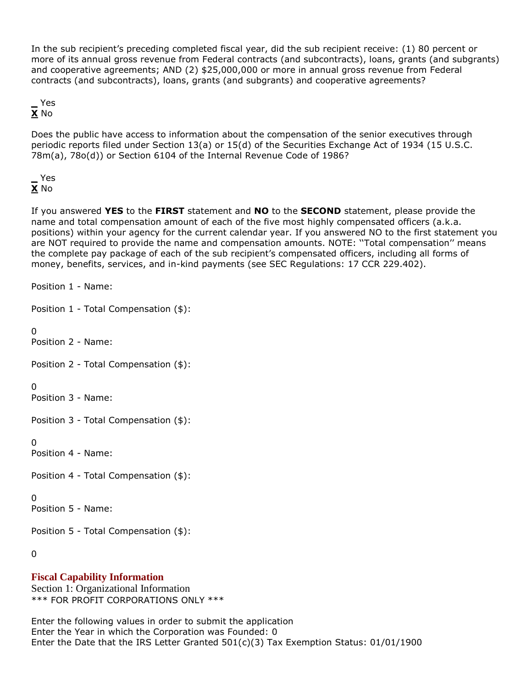In the sub recipient's preceding completed fiscal year, did the sub recipient receive: (1) 80 percent or more of its annual gross revenue from Federal contracts (and subcontracts), loans, grants (and subgrants) and cooperative agreements; AND (2) \$25,000,000 or more in annual gross revenue from Federal contracts (and subcontracts), loans, grants (and subgrants) and cooperative agreements?

**\_** Yes **X** No

Does the public have access to information about the compensation of the senior executives through periodic reports filed under Section 13(a) or 15(d) of the Securities Exchange Act of 1934 (15 U.S.C. 78m(a), 78o(d)) or Section 6104 of the Internal Revenue Code of 1986?

**\_** Yes **X** No

If you answered **YES** to the **FIRST** statement and **NO** to the **SECOND** statement, please provide the name and total compensation amount of each of the five most highly compensated officers (a.k.a. positions) within your agency for the current calendar year. If you answered NO to the first statement you are NOT required to provide the name and compensation amounts. NOTE: ''Total compensation'' means the complete pay package of each of the sub recipient's compensated officers, including all forms of money, benefits, services, and in-kind payments (see SEC Regulations: 17 CCR 229.402).

Position 1 - Name:

Position 1 - Total Compensation (\$):

 $\Omega$ 

Position 2 - Name:

Position 2 - Total Compensation (\$):

0

Position 3 - Name:

Position 3 - Total Compensation (\$):

0

Position 4 - Name:

Position 4 - Total Compensation (\$):

0

Position 5 - Name:

Position 5 - Total Compensation (\$):

0

## **Fiscal Capability Information**

Section 1: Organizational Information \*\*\* FOR PROFIT CORPORATIONS ONLY \*\*\*

Enter the following values in order to submit the application Enter the Year in which the Corporation was Founded: 0 Enter the Date that the IRS Letter Granted  $501(c)(3)$  Tax Exemption Status:  $01/01/1900$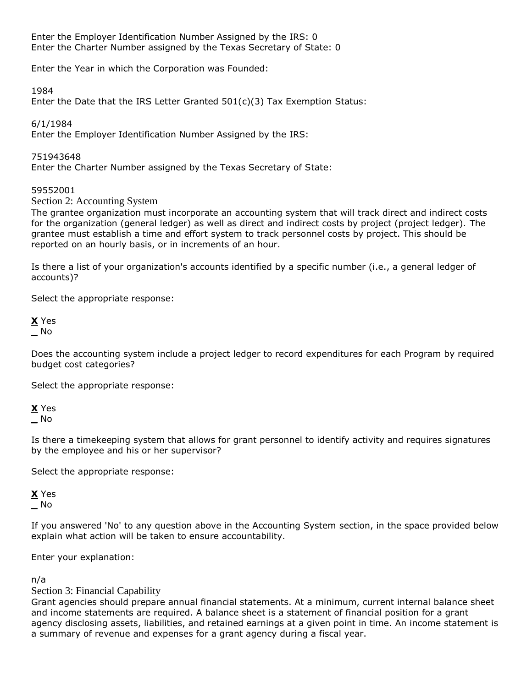Enter the Employer Identification Number Assigned by the IRS: 0 Enter the Charter Number assigned by the Texas Secretary of State: 0

Enter the Year in which the Corporation was Founded:

1984

Enter the Date that the IRS Letter Granted 501(c)(3) Tax Exemption Status:

6/1/1984

Enter the Employer Identification Number Assigned by the IRS:

751943648

Enter the Charter Number assigned by the Texas Secretary of State:

## 59552001

Section 2: Accounting System

The grantee organization must incorporate an accounting system that will track direct and indirect costs for the organization (general ledger) as well as direct and indirect costs by project (project ledger). The grantee must establish a time and effort system to track personnel costs by project. This should be reported on an hourly basis, or in increments of an hour.

Is there a list of your organization's accounts identified by a specific number (i.e., a general ledger of accounts)?

Select the appropriate response:

**X** Yes **\_** No

Does the accounting system include a project ledger to record expenditures for each Program by required budget cost categories?

Select the appropriate response:

**X** Yes **\_** No

Is there a timekeeping system that allows for grant personnel to identify activity and requires signatures by the employee and his or her supervisor?

Select the appropriate response:

**X** Yes **\_** No

If you answered 'No' to any question above in the Accounting System section, in the space provided below explain what action will be taken to ensure accountability.

Enter your explanation:

n/a

Section 3: Financial Capability

Grant agencies should prepare annual financial statements. At a minimum, current internal balance sheet and income statements are required. A balance sheet is a statement of financial position for a grant agency disclosing assets, liabilities, and retained earnings at a given point in time. An income statement is a summary of revenue and expenses for a grant agency during a fiscal year.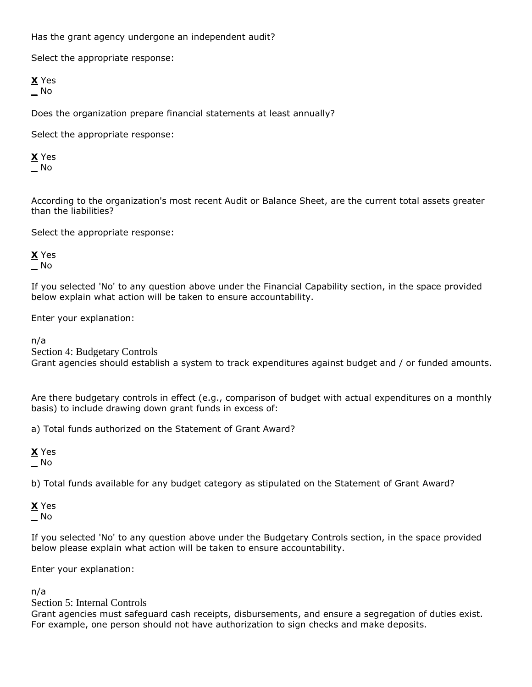Has the grant agency undergone an independent audit?

Select the appropriate response:

**X** Yes **\_** No

Does the organization prepare financial statements at least annually?

Select the appropriate response:

**X** Yes **\_** No

According to the organization's most recent Audit or Balance Sheet, are the current total assets greater than the liabilities?

Select the appropriate response:

**X** Yes **\_** No

If you selected 'No' to any question above under the Financial Capability section, in the space provided below explain what action will be taken to ensure accountability.

Enter your explanation:

n/a

Section 4: Budgetary Controls

Grant agencies should establish a system to track expenditures against budget and / or funded amounts.

Are there budgetary controls in effect (e.g., comparison of budget with actual expenditures on a monthly basis) to include drawing down grant funds in excess of:

a) Total funds authorized on the Statement of Grant Award?

**X** Yes **\_** No

b) Total funds available for any budget category as stipulated on the Statement of Grant Award?

**X** Yes **\_** No

If you selected 'No' to any question above under the Budgetary Controls section, in the space provided below please explain what action will be taken to ensure accountability.

Enter your explanation:

n/a

Section 5: Internal Controls

Grant agencies must safeguard cash receipts, disbursements, and ensure a segregation of duties exist. For example, one person should not have authorization to sign checks and make deposits.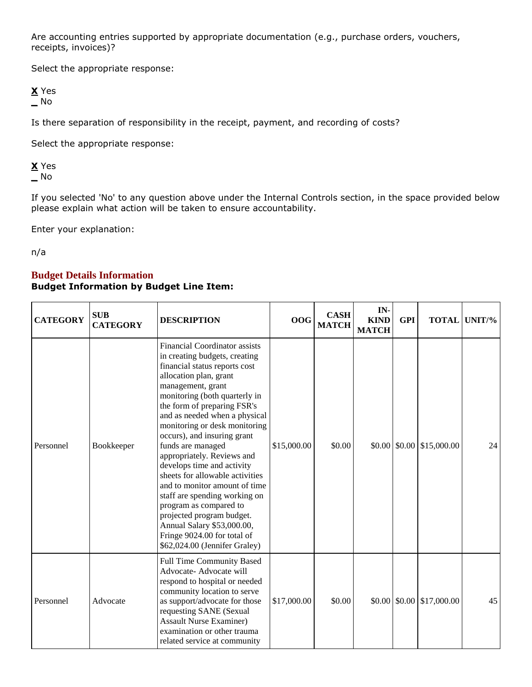Are accounting entries supported by appropriate documentation (e.g., purchase orders, vouchers, receipts, invoices)?

Select the appropriate response:

**X** Yes **\_** No

Is there separation of responsibility in the receipt, payment, and recording of costs?

Select the appropriate response:

**X** Yes **\_** No

If you selected 'No' to any question above under the Internal Controls section, in the space provided below please explain what action will be taken to ensure accountability.

Enter your explanation:

n/a

## **Budget Details Information Budget Information by Budget Line Item:**

| <b>CATEGORY</b> | <b>SUB</b><br><b>CATEGORY</b> | <b>DESCRIPTION</b>                                                                                                                                                                                                                                                                                                                                                                                                                                                                                                                                                                                                                                                | <b>OOG</b>  | <b>CASH</b><br><b>MATCH</b> | IN-<br><b>KIND</b><br><b>MATCH</b> | <b>GPI</b> |                                                        | <b>TOTAL UNIT/%</b> |
|-----------------|-------------------------------|-------------------------------------------------------------------------------------------------------------------------------------------------------------------------------------------------------------------------------------------------------------------------------------------------------------------------------------------------------------------------------------------------------------------------------------------------------------------------------------------------------------------------------------------------------------------------------------------------------------------------------------------------------------------|-------------|-----------------------------|------------------------------------|------------|--------------------------------------------------------|---------------------|
| Personnel       | Bookkeeper                    | <b>Financial Coordinator assists</b><br>in creating budgets, creating<br>financial status reports cost<br>allocation plan, grant<br>management, grant<br>monitoring (both quarterly in<br>the form of preparing FSR's<br>and as needed when a physical<br>monitoring or desk monitoring<br>occurs), and insuring grant<br>funds are managed<br>appropriately. Reviews and<br>develops time and activity<br>sheets for allowable activities<br>and to monitor amount of time<br>staff are spending working on<br>program as compared to<br>projected program budget.<br>Annual Salary \$53,000.00,<br>Fringe 9024.00 for total of<br>\$62,024.00 (Jennifer Graley) | \$15,000.00 | \$0.00                      |                                    |            | $$0.00 \, \text{]} \, $0.00 \, \text{]} \, $15,000.00$ | 24                  |
| Personnel       | Advocate                      | <b>Full Time Community Based</b><br>Advocate- Advocate will<br>respond to hospital or needed<br>community location to serve<br>as support/advocate for those<br>requesting SANE (Sexual<br><b>Assault Nurse Examiner)</b><br>examination or other trauma<br>related service at community                                                                                                                                                                                                                                                                                                                                                                          | \$17,000.00 | \$0.00                      |                                    |            | $$0.00 \, \times \, 0.00 \, \times \, 17,000.00$       | 45                  |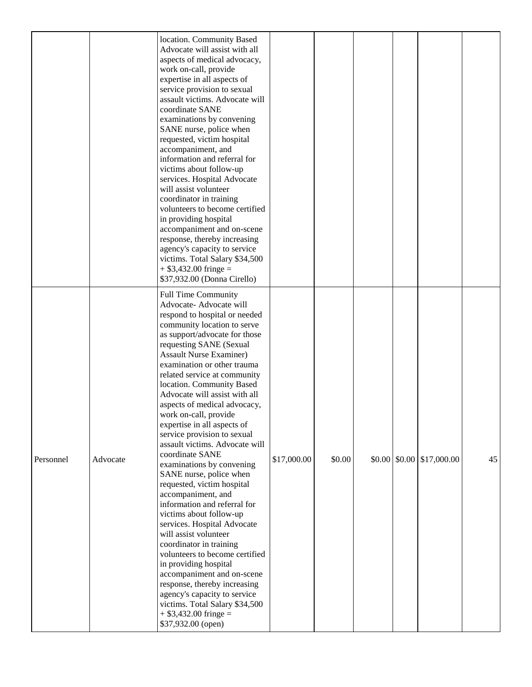|           |          | location. Community Based<br>Advocate will assist with all<br>aspects of medical advocacy,<br>work on-call, provide<br>expertise in all aspects of<br>service provision to sexual<br>assault victims. Advocate will<br>coordinate SANE<br>examinations by convening<br>SANE nurse, police when<br>requested, victim hospital<br>accompaniment, and<br>information and referral for<br>victims about follow-up<br>services. Hospital Advocate<br>will assist volunteer<br>coordinator in training<br>volunteers to become certified<br>in providing hospital<br>accompaniment and on-scene<br>response, thereby increasing<br>agency's capacity to service<br>victims. Total Salary \$34,500<br>$+$ \$3,432.00 fringe =<br>\$37,932.00 (Donna Cirello)                                                                                                                                                                                                                                                                             |             |        |  |                                                  |    |
|-----------|----------|-----------------------------------------------------------------------------------------------------------------------------------------------------------------------------------------------------------------------------------------------------------------------------------------------------------------------------------------------------------------------------------------------------------------------------------------------------------------------------------------------------------------------------------------------------------------------------------------------------------------------------------------------------------------------------------------------------------------------------------------------------------------------------------------------------------------------------------------------------------------------------------------------------------------------------------------------------------------------------------------------------------------------------------|-------------|--------|--|--------------------------------------------------|----|
| Personnel | Advocate | <b>Full Time Community</b><br>Advocate-Advocate will<br>respond to hospital or needed<br>community location to serve<br>as support/advocate for those<br>requesting SANE (Sexual<br><b>Assault Nurse Examiner)</b><br>examination or other trauma<br>related service at community<br>location. Community Based<br>Advocate will assist with all<br>aspects of medical advocacy,<br>work on-call, provide<br>expertise in all aspects of<br>service provision to sexual<br>assault victims. Advocate will<br>coordinate SANE<br>examinations by convening<br>SANE nurse, police when<br>requested, victim hospital<br>accompaniment, and<br>information and referral for<br>victims about follow-up<br>services. Hospital Advocate<br>will assist volunteer<br>coordinator in training<br>volunteers to become certified<br>in providing hospital<br>accompaniment and on-scene<br>response, thereby increasing<br>agency's capacity to service<br>victims. Total Salary \$34,500<br>$+$ \$3,432.00 fringe =<br>\$37,932.00 (open) | \$17,000.00 | \$0.00 |  | $$0.00 \, \times \, 0.00 \, \times \, 17,000.00$ | 45 |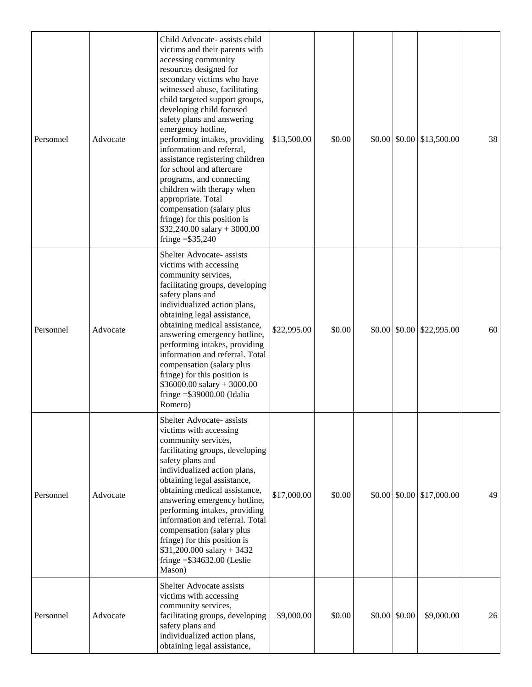| Personnel | Advocate | Child Advocate- assists child<br>victims and their parents with<br>accessing community<br>resources designed for<br>secondary victims who have<br>witnessed abuse, facilitating<br>child targeted support groups,<br>developing child focused<br>safety plans and answering<br>emergency hotline,<br>performing intakes, providing<br>information and referral,<br>assistance registering children<br>for school and aftercare<br>programs, and connecting<br>children with therapy when<br>appropriate. Total<br>compensation (salary plus<br>fringe) for this position is<br>$$32,240.00$ salary + 3000.00<br>fringe $= $35,240$ | \$13,500.00 | \$0.00 |                         | $$0.00 \, \text{S}0.00 \, \text{S}13,500.00$ | 38 |
|-----------|----------|------------------------------------------------------------------------------------------------------------------------------------------------------------------------------------------------------------------------------------------------------------------------------------------------------------------------------------------------------------------------------------------------------------------------------------------------------------------------------------------------------------------------------------------------------------------------------------------------------------------------------------|-------------|--------|-------------------------|----------------------------------------------|----|
| Personnel | Advocate | Shelter Advocate- assists<br>victims with accessing<br>community services,<br>facilitating groups, developing<br>safety plans and<br>individualized action plans,<br>obtaining legal assistance,<br>obtaining medical assistance,<br>answering emergency hotline,<br>performing intakes, providing<br>information and referral. Total<br>compensation (salary plus<br>fringe) for this position is<br>$$36000.00$ salary + 3000.00<br>fringe $=\$39000.00$ (Idalia<br>Romero)                                                                                                                                                      | \$22,995.00 | \$0.00 |                         | $$0.00 \, \text{S}0.00 \, \text{S}22,995.00$ | 60 |
| Personnel | Advocate | Shelter Advocate- assists<br>victims with accessing<br>community services,<br>facilitating groups, developing<br>safety plans and<br>individualized action plans,<br>obtaining legal assistance,<br>obtaining medical assistance,<br>answering emergency hotline,<br>performing intakes, providing<br>information and referral. Total<br>compensation (salary plus<br>fringe) for this position is<br>$$31,200.000$ salary + 3432<br>fringe $= $34632.00$ (Leslie<br>Mason)                                                                                                                                                        | \$17,000.00 | \$0.00 | $$0.00 \, \text{S}0.00$ | \$17,000.00                                  | 49 |
| Personnel | Advocate | Shelter Advocate assists<br>victims with accessing<br>community services,<br>facilitating groups, developing<br>safety plans and<br>individualized action plans,<br>obtaining legal assistance,                                                                                                                                                                                                                                                                                                                                                                                                                                    | \$9,000.00  | \$0.00 | $$0.00 \; $0.00$        | \$9,000.00                                   | 26 |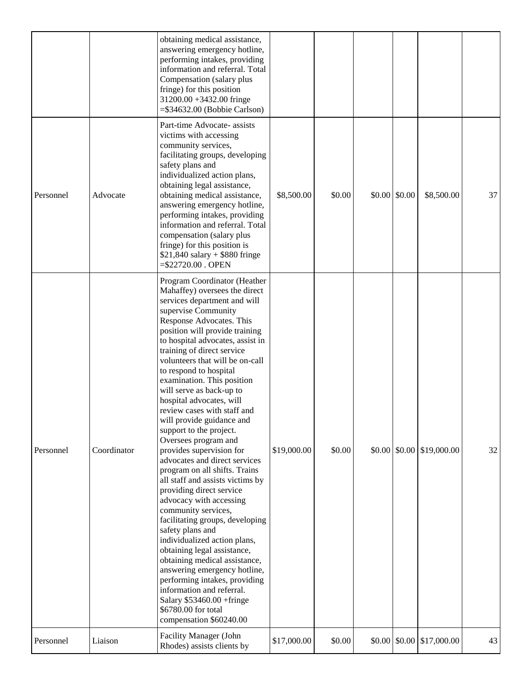|           |             | obtaining medical assistance,<br>answering emergency hotline,<br>performing intakes, providing<br>information and referral. Total<br>Compensation (salary plus<br>fringe) for this position<br>31200.00 +3432.00 fringe<br>$= $34632.00$ (Bobbie Carlson)                                                                                                                                                                                                                                                                                                                                                                                                                                                                                                                                                                                                                                                                                                                                                                                                                  |             |        |               |                                              |    |
|-----------|-------------|----------------------------------------------------------------------------------------------------------------------------------------------------------------------------------------------------------------------------------------------------------------------------------------------------------------------------------------------------------------------------------------------------------------------------------------------------------------------------------------------------------------------------------------------------------------------------------------------------------------------------------------------------------------------------------------------------------------------------------------------------------------------------------------------------------------------------------------------------------------------------------------------------------------------------------------------------------------------------------------------------------------------------------------------------------------------------|-------------|--------|---------------|----------------------------------------------|----|
| Personnel | Advocate    | Part-time Advocate- assists<br>victims with accessing<br>community services,<br>facilitating groups, developing<br>safety plans and<br>individualized action plans,<br>obtaining legal assistance,<br>obtaining medical assistance,<br>answering emergency hotline,<br>performing intakes, providing<br>information and referral. Total<br>compensation (salary plus<br>fringe) for this position is<br>$$21,840$ salary + \$880 fringe<br>$=\frac{22720.00}{2}$ . OPEN                                                                                                                                                                                                                                                                                                                                                                                                                                                                                                                                                                                                    | \$8,500.00  | \$0.00 | \$0.00 \$0.00 | \$8,500.00                                   | 37 |
| Personnel | Coordinator | Program Coordinator (Heather<br>Mahaffey) oversees the direct<br>services department and will<br>supervise Community<br>Response Advocates. This<br>position will provide training<br>to hospital advocates, assist in<br>training of direct service<br>volunteers that will be on-call<br>to respond to hospital<br>examination. This position<br>will serve as back-up to<br>hospital advocates, will<br>review cases with staff and<br>will provide guidance and<br>support to the project.<br>Oversees program and<br>provides supervision for<br>advocates and direct services<br>program on all shifts. Trains<br>all staff and assists victims by<br>providing direct service<br>advocacy with accessing<br>community services,<br>facilitating groups, developing<br>safety plans and<br>individualized action plans,<br>obtaining legal assistance,<br>obtaining medical assistance,<br>answering emergency hotline,<br>performing intakes, providing<br>information and referral.<br>Salary \$53460.00 +fringe<br>\$6780.00 for total<br>compensation \$60240.00 | \$19,000.00 | \$0.00 |               | $$0.00 \, \text{S}0.00 \, \text{S}19,000.00$ | 32 |
| Personnel | Liaison     | Facility Manager (John<br>Rhodes) assists clients by                                                                                                                                                                                                                                                                                                                                                                                                                                                                                                                                                                                                                                                                                                                                                                                                                                                                                                                                                                                                                       | \$17,000.00 | \$0.00 |               | $$0.00 \, \text{S}0.00 \, \text{S}17,000.00$ | 43 |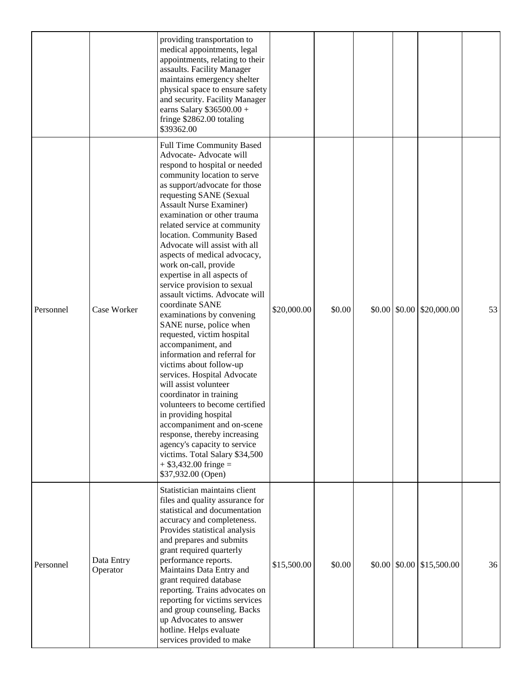|           |                        | providing transportation to<br>medical appointments, legal<br>appointments, relating to their<br>assaults. Facility Manager<br>maintains emergency shelter<br>physical space to ensure safety<br>and security. Facility Manager<br>earns Salary \$36500.00 +<br>fringe \$2862.00 totaling<br>\$39362.00                                                                                                                                                                                                                                                                                                                                                                                                                                                                                                                                                                                                                                                                                                                           |             |        |  |                                                        |    |
|-----------|------------------------|-----------------------------------------------------------------------------------------------------------------------------------------------------------------------------------------------------------------------------------------------------------------------------------------------------------------------------------------------------------------------------------------------------------------------------------------------------------------------------------------------------------------------------------------------------------------------------------------------------------------------------------------------------------------------------------------------------------------------------------------------------------------------------------------------------------------------------------------------------------------------------------------------------------------------------------------------------------------------------------------------------------------------------------|-------------|--------|--|--------------------------------------------------------|----|
| Personnel | Case Worker            | Full Time Community Based<br>Advocate- Advocate will<br>respond to hospital or needed<br>community location to serve<br>as support/advocate for those<br>requesting SANE (Sexual<br><b>Assault Nurse Examiner)</b><br>examination or other trauma<br>related service at community<br>location. Community Based<br>Advocate will assist with all<br>aspects of medical advocacy,<br>work on-call, provide<br>expertise in all aspects of<br>service provision to sexual<br>assault victims. Advocate will<br>coordinate SANE<br>examinations by convening<br>SANE nurse, police when<br>requested, victim hospital<br>accompaniment, and<br>information and referral for<br>victims about follow-up<br>services. Hospital Advocate<br>will assist volunteer<br>coordinator in training<br>volunteers to become certified<br>in providing hospital<br>accompaniment and on-scene<br>response, thereby increasing<br>agency's capacity to service<br>victims. Total Salary \$34,500<br>$+$ \$3,432.00 fringe =<br>\$37,932.00 (Open) | \$20,000.00 | \$0.00 |  | $$0.00 \, \text{S}0.00 \, \text{S}20,000.00$           | 53 |
| Personnel | Data Entry<br>Operator | Statistician maintains client<br>files and quality assurance for<br>statistical and documentation<br>accuracy and completeness.<br>Provides statistical analysis<br>and prepares and submits<br>grant required quarterly<br>performance reports.<br>Maintains Data Entry and<br>grant required database<br>reporting. Trains advocates on<br>reporting for victims services<br>and group counseling. Backs<br>up Advocates to answer<br>hotline. Helps evaluate<br>services provided to make                                                                                                                                                                                                                                                                                                                                                                                                                                                                                                                                      | \$15,500.00 | \$0.00 |  | $$0.00 \, \text{]} \, $0.00 \, \text{]} \, $15,500.00$ | 36 |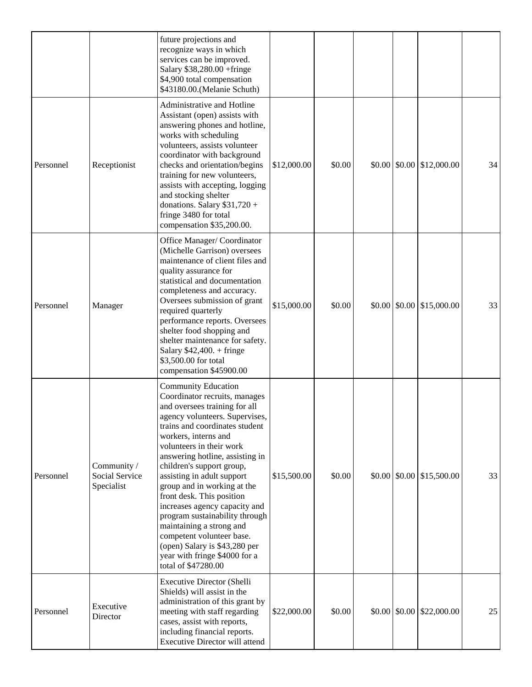|           |                                             | future projections and<br>recognize ways in which<br>services can be improved.<br>Salary \$38,280.00 +fringe<br>\$4,900 total compensation<br>\$43180.00. (Melanie Schuth)                                                                                                                                                                                                                                                                                                                                                                                                                          |             |        |  |                                                        |    |
|-----------|---------------------------------------------|-----------------------------------------------------------------------------------------------------------------------------------------------------------------------------------------------------------------------------------------------------------------------------------------------------------------------------------------------------------------------------------------------------------------------------------------------------------------------------------------------------------------------------------------------------------------------------------------------------|-------------|--------|--|--------------------------------------------------------|----|
| Personnel | Receptionist                                | Administrative and Hotline<br>Assistant (open) assists with<br>answering phones and hotline,<br>works with scheduling<br>volunteers, assists volunteer<br>coordinator with background<br>checks and orientation/begins<br>training for new volunteers,<br>assists with accepting, logging<br>and stocking shelter<br>donations. Salary \$31,720 +<br>fringe 3480 for total<br>compensation \$35,200.00.                                                                                                                                                                                             | \$12,000.00 | \$0.00 |  | $$0.00 \, \text{S}0.00 \, \text{S}12,000.00$           | 34 |
| Personnel | Manager                                     | Office Manager/Coordinator<br>(Michelle Garrison) oversees<br>maintenance of client files and<br>quality assurance for<br>statistical and documentation<br>completeness and accuracy.<br>Oversees submission of grant<br>required quarterly<br>performance reports. Oversees<br>shelter food shopping and<br>shelter maintenance for safety.<br>Salary $$42,400.+$ fringe<br>\$3,500.00 for total<br>compensation \$45900.00                                                                                                                                                                        | \$15,000.00 | \$0.00 |  | $$0.00 \, \times \, 0.00 \, \times \, 15,000.00$       | 33 |
| Personnel | Community /<br>Social Service<br>Specialist | <b>Community Education</b><br>Coordinator recruits, manages<br>and oversees training for all<br>agency volunteers. Supervises,<br>trains and coordinates student<br>workers, interns and<br>volunteers in their work<br>answering hotline, assisting in<br>children's support group,<br>assisting in adult support<br>group and in working at the<br>front desk. This position<br>increases agency capacity and<br>program sustainability through<br>maintaining a strong and<br>competent volunteer base.<br>(open) Salary is \$43,280 per<br>year with fringe \$4000 for a<br>total of \$47280.00 | \$15,500.00 | \$0.00 |  | $$0.00 \, \text{]} \, $0.00 \, \text{]} \, $15,500.00$ | 33 |
| Personnel | Executive<br>Director                       | <b>Executive Director (Shelli</b><br>Shields) will assist in the<br>administration of this grant by<br>meeting with staff regarding<br>cases, assist with reports,<br>including financial reports.<br>Executive Director will attend                                                                                                                                                                                                                                                                                                                                                                | \$22,000.00 | \$0.00 |  | $$0.00 \, \times \, 0.00 \, \times \, 22,000.00$       | 25 |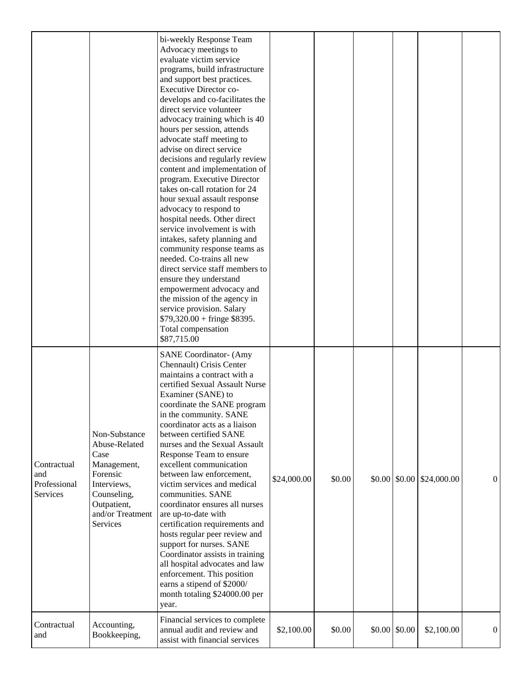|                                                       |                                                                                                                                                | bi-weekly Response Team<br>Advocacy meetings to<br>evaluate victim service<br>programs, build infrastructure<br>and support best practices.<br><b>Executive Director co-</b><br>develops and co-facilitates the<br>direct service volunteer<br>advocacy training which is 40<br>hours per session, attends<br>advocate staff meeting to<br>advise on direct service<br>decisions and regularly review<br>content and implementation of<br>program. Executive Director<br>takes on-call rotation for 24<br>hour sexual assault response<br>advocacy to respond to<br>hospital needs. Other direct<br>service involvement is with<br>intakes, safety planning and<br>community response teams as<br>needed. Co-trains all new<br>direct service staff members to<br>ensure they understand<br>empowerment advocacy and<br>the mission of the agency in<br>service provision. Salary<br>$$79,320.00 + fringe $8395.$<br>Total compensation<br>\$87,715.00 |             |        |                     |                                                 |                |
|-------------------------------------------------------|------------------------------------------------------------------------------------------------------------------------------------------------|--------------------------------------------------------------------------------------------------------------------------------------------------------------------------------------------------------------------------------------------------------------------------------------------------------------------------------------------------------------------------------------------------------------------------------------------------------------------------------------------------------------------------------------------------------------------------------------------------------------------------------------------------------------------------------------------------------------------------------------------------------------------------------------------------------------------------------------------------------------------------------------------------------------------------------------------------------|-------------|--------|---------------------|-------------------------------------------------|----------------|
| Contractual<br>and<br>Professional<br><b>Services</b> | Non-Substance<br>Abuse-Related<br>Case<br>Management,<br>Forensic<br>Interviews,<br>Counseling,<br>Outpatient,<br>and/or Treatment<br>Services | <b>SANE Coordinator- (Amy</b><br>Chennault) Crisis Center<br>maintains a contract with a<br>certified Sexual Assault Nurse<br>Examiner (SANE) to<br>coordinate the SANE program<br>in the community. SANE<br>coordinator acts as a liaison<br>between certified SANE<br>nurses and the Sexual Assault<br>Response Team to ensure<br>excellent communication<br>between law enforcement,<br>victim services and medical<br>communities. SANE<br>coordinator ensures all nurses<br>are up-to-date with<br>certification requirements and<br>hosts regular peer review and<br>support for nurses. SANE<br>Coordinator assists in training<br>all hospital advocates and law<br>enforcement. This position<br>earns a stipend of \$2000/<br>month totaling \$24000.00 per<br>year.                                                                                                                                                                         | \$24,000.00 | \$0.00 |                     | $$0.00 \, \times \, 0.00 \, \times \, 0.000.00$ | $\overline{0}$ |
| Contractual<br>and                                    | Accounting,<br>Bookkeeping,                                                                                                                    | Financial services to complete<br>annual audit and review and<br>assist with financial services                                                                                                                                                                                                                                                                                                                                                                                                                                                                                                                                                                                                                                                                                                                                                                                                                                                        | \$2,100.00  | \$0.00 | $$0.00 \, \, $0.00$ | \$2,100.00                                      | $\overline{0}$ |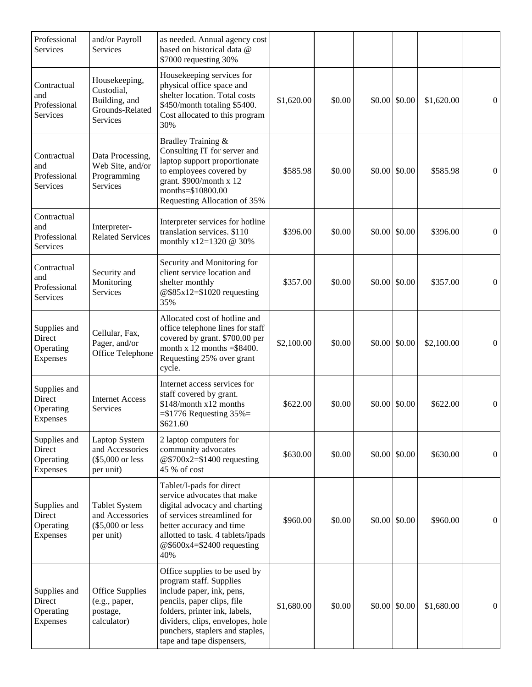| Professional<br>Services                        | and/or Payroll<br>Services                                                  | as needed. Annual agency cost<br>based on historical data @<br>\$7000 requesting 30%                                                                                                                                                                     |            |        |                         |            |                  |
|-------------------------------------------------|-----------------------------------------------------------------------------|----------------------------------------------------------------------------------------------------------------------------------------------------------------------------------------------------------------------------------------------------------|------------|--------|-------------------------|------------|------------------|
| Contractual<br>and<br>Professional<br>Services  | Housekeeping,<br>Custodial,<br>Building, and<br>Grounds-Related<br>Services | Housekeeping services for<br>physical office space and<br>shelter location. Total costs<br>\$450/month totaling \$5400.<br>Cost allocated to this program<br>30%                                                                                         | \$1,620.00 | \$0.00 | $$0.00 \; $0.00$        | \$1,620.00 | $\theta$         |
| Contractual<br>and<br>Professional<br>Services  | Data Processing,<br>Web Site, and/or<br>Programming<br>Services             | Bradley Training &<br>Consulting IT for server and<br>laptop support proportionate<br>to employees covered by<br>grant. \$900/month x 12<br>months=\$10800.00<br>Requesting Allocation of 35%                                                            | \$585.98   | \$0.00 | $$0.00 \, \text{S}0.00$ | \$585.98   | $\overline{0}$   |
| Contractual<br>and<br>Professional<br>Services  | Interpreter-<br><b>Related Services</b>                                     | Interpreter services for hotline<br>translation services. \$110<br>monthly x12=1320 @ 30%                                                                                                                                                                | \$396.00   | \$0.00 | $$0.00 \; $0.00$        | \$396.00   | $\theta$         |
| Contractual<br>and<br>Professional<br>Services  | Security and<br>Monitoring<br>Services                                      | Security and Monitoring for<br>client service location and<br>shelter monthly<br>@\$85x12=\$1020 requesting<br>35%                                                                                                                                       | \$357.00   | \$0.00 | $$0.00 \, \text{S}0.00$ | \$357.00   | $\theta$         |
| Supplies and<br>Direct<br>Operating<br>Expenses | Cellular, Fax,<br>Pager, and/or<br>Office Telephone                         | Allocated cost of hotline and<br>office telephone lines for staff<br>covered by grant. \$700.00 per<br>month x 12 months $= $8400$ .<br>Requesting 25% over grant<br>cycle.                                                                              | \$2,100.00 | \$0.00 | \$0.00 \$0.00           | \$2,100.00 | $\Omega$         |
| Supplies and<br>Direct<br>Operating<br>Expenses | <b>Internet Access</b><br>Services                                          | Internet access services for<br>staff covered by grant.<br>\$148/month x12 months<br>$= $1776$ Requesting $35\%$<br>\$621.60                                                                                                                             | \$622.00   | \$0.00 | $$0.00 \; $0.00$        | \$622.00   | $\theta$         |
| Supplies and<br>Direct<br>Operating<br>Expenses | Laptop System<br>and Accessories<br>$(\$5,000$ or less<br>per unit)         | 2 laptop computers for<br>community advocates<br>@\$700x2=\$1400 requesting<br>45 % of cost                                                                                                                                                              | \$630.00   | \$0.00 | \$0.00 \$0.00           | \$630.00   | $\overline{0}$   |
| Supplies and<br>Direct<br>Operating<br>Expenses | <b>Tablet System</b><br>and Accessories<br>(\$5,000 or less<br>per unit)    | Tablet/I-pads for direct<br>service advocates that make<br>digital advocacy and charting<br>of services streamlined for<br>better accuracy and time<br>allotted to task. 4 tablets/ipads<br>@\$600x4=\$2400 requesting<br>40%                            | \$960.00   | \$0.00 | $$0.00 \, \text{S}0.00$ | \$960.00   | $\overline{0}$   |
| Supplies and<br>Direct<br>Operating<br>Expenses | Office Supplies<br>(e.g., paper,<br>postage,<br>calculator)                 | Office supplies to be used by<br>program staff. Supplies<br>include paper, ink, pens,<br>pencils, paper clips, file<br>folders, printer ink, labels,<br>dividers, clips, envelopes, hole<br>punchers, staplers and staples,<br>tape and tape dispensers, | \$1,680.00 | \$0.00 | $$0.00 \, \text{S}0.00$ | \$1,680.00 | $\boldsymbol{0}$ |